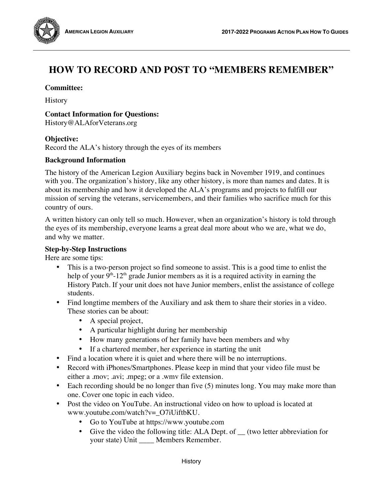

# **Committee:**

**History** 

#### **Contact Information for Questions:**

History@ALAforVeterans.org

### **Objective:**

Record the ALA's history through the eyes of its members

### **Background Information**

The history of the American Legion Auxiliary begins back in November 1919, and continues with you. The organization's history, like any other history, is more than names and dates. It is about its membership and how it developed the ALA's programs and projects to fulfill our mission of serving the veterans, servicemembers, and their families who sacrifice much for this country of ours.

A written history can only tell so much. However, when an organization's history is told through the eyes of its membership, everyone learns a great deal more about who we are, what we do, and why we matter.

## **Step-by-Step Instructions**

Here are some tips:

- This is a two-person project so find someone to assist. This is a good time to enlist the help of your  $9<sup>th</sup>$ -12<sup>th</sup> grade Junior members as it is a required activity in earning the History Patch. If your unit does not have Junior members, enlist the assistance of college students.
- Find longtime members of the Auxiliary and ask them to share their stories in a video. These stories can be about:
	- A special project,
	- A particular highlight during her membership
	- How many generations of her family have been members and why
	- If a chartered member, her experience in starting the unit
- Find a location where it is quiet and where there will be no interruptions.
- Record with iPhones/Smartphones. Please keep in mind that your video file must be either a .mov; .avi; .mpeg; or a .wmv file extension.
- Each recording should be no longer than five (5) minutes long. You may make more than one. Cover one topic in each video.
- Post the video on YouTube. An instructional video on how to upload is located at www.youtube.com/watch?v=\_O7iUiftbKU.
	- Go to YouTube at https://www.youtube.com
	- Give the video the following title: ALA Dept. of  $\quad$  (two letter abbreviation for your state) Unit \_\_\_\_ Members Remember.